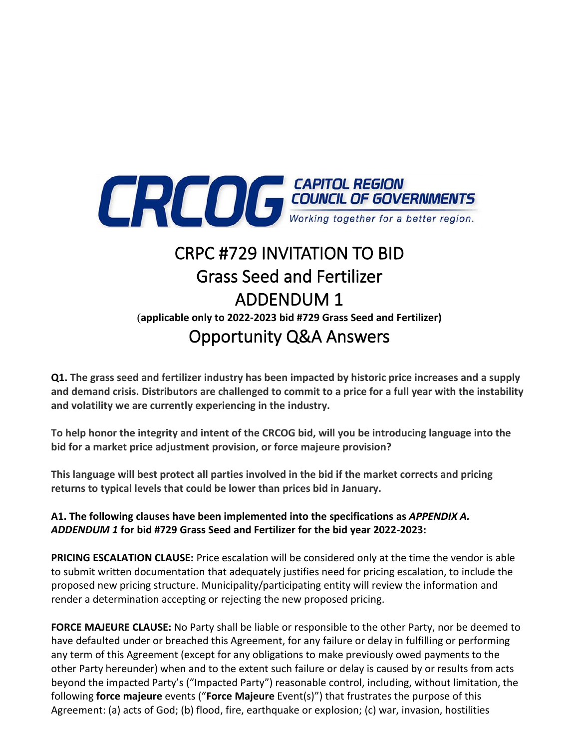

## CRPC #729 INVITATION TO BID Grass Seed and Fertilizer ADDENDUM 1 (**applicable only to 2022-2023 bid #729 Grass Seed and Fertilizer)** Opportunity Q&A Answers

**Q1. The grass seed and fertilizer industry has been impacted by historic price increases and a supply and demand crisis. Distributors are challenged to commit to a price for a full year with the instability and volatility we are currently experiencing in the industry.** 

**To help honor the integrity and intent of the CRCOG bid, will you be introducing language into the bid for a market price adjustment provision, or force majeure provision?**

**This language will best protect all parties involved in the bid if the market corrects and pricing returns to typical levels that could be lower than prices bid in January.**

## **A1. The following clauses have been implemented into the specifications as** *APPENDIX A. ADDENDUM 1* **for bid #729 Grass Seed and Fertilizer for the bid year 2022-2023:**

**PRICING ESCALATION CLAUSE:** Price escalation will be considered only at the time the vendor is able to submit written documentation that adequately justifies need for pricing escalation, to include the proposed new pricing structure. Municipality/participating entity will review the information and render a determination accepting or rejecting the new proposed pricing.

**FORCE MAJEURE CLAUSE:** No Party shall be liable or responsible to the other Party, nor be deemed to have defaulted under or breached this Agreement, for any failure or delay in fulfilling or performing any term of this Agreement (except for any obligations to make previously owed payments to the other Party hereunder) when and to the extent such failure or delay is caused by or results from acts beyond the impacted Party's ("Impacted Party") reasonable control, including, without limitation, the following **force majeure** events ("**Force Majeure** Event(s)") that frustrates the purpose of this Agreement: (a) acts of God; (b) flood, fire, earthquake or explosion; (c) war, invasion, hostilities